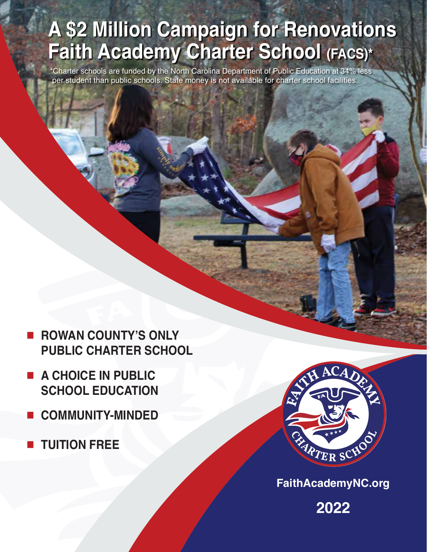# **A \$2 Million Campaign for Renovations Faith Academy Charter School (FACS)\***

\*Charter schools are funded by the North Carolina Department of Public Education at 34% less per student than public schools. State money is not available for charter school facilities.

- ■ **ROWAN COUNTY'S ONLY PUBLIC CHARTER SCHOOL**
- ■ **A CHOICE IN PUBLIC SCHOOL EDUCATION**
- ■ **COMMUNITY-MINDED**
- ■ **TUITION FREE**



**FaithAcademyNC.org**

**2022**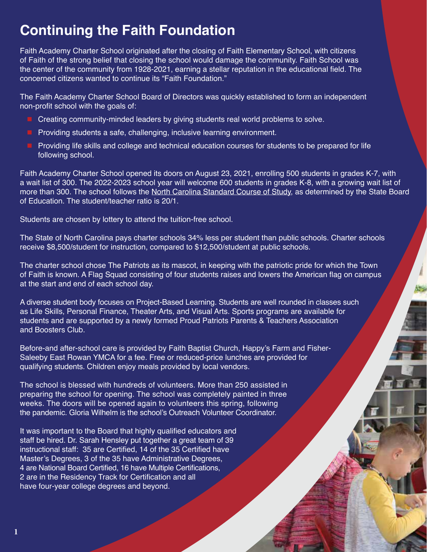#### **Continuing the Faith Foundation**

Faith Academy Charter School originated after the closing of Faith Elementary School, with citizens of Faith of the strong belief that closing the school would damage the community. Faith School was the center of the community from 1928-2021, earning a stellar reputation in the educational field. The concerned citizens wanted to continue its "Faith Foundation."

The Faith Academy Charter School Board of Directors was quickly established to form an independent non-profit school with the goals of:

- Creating community-minded leaders by giving students real world problems to solve.
- Providing students a safe, challenging, inclusive learning environment.
- Providing life skills and college and technical education courses for students to be prepared for life following school.

Faith Academy Charter School opened its doors on August 23, 2021, enrolling 500 students in grades K-7, with a wait list of 300. The 2022-2023 school year will welcome 600 students in grades K-8, with a growing wait list of more than 300. The school follows the North Carolina Standard Course of Study, as determined by the State Board of Education. The student/teacher ratio is 20/1.

Students are chosen by lottery to attend the tuition-free school.

The State of North Carolina pays charter schools 34% less per student than public schools. Charter schools receive \$8,500/student for instruction, compared to \$12,500/student at public schools.

The charter school chose The Patriots as its mascot, in keeping with the patriotic pride for which the Town of Faith is known. A Flag Squad consisting of four students raises and lowers the American flag on campus at the start and end of each school day.

A diverse student body focuses on Project-Based Learning. Students are well rounded in classes such as Life Skills, Personal Finance, Theater Arts, and Visual Arts. Sports programs are available for students and are supported by a newly formed Proud Patriots Parents & Teachers Association and Boosters Club.

Before-and after-school care is provided by Faith Baptist Church, Happy's Farm and Fisher-Saleeby East Rowan YMCA for a fee. Free or reduced-price lunches are provided for qualifying students. Children enjoy meals provided by local vendors.

The school is blessed with hundreds of volunteers. More than 250 assisted in preparing the school for opening. The school was completely painted in three weeks. The doors will be opened again to volunteers this spring, following the pandemic. Gloria Wilhelm is the school's Outreach Volunteer Coordinator.

It was important to the Board that highly qualified educators and staff be hired. Dr. Sarah Hensley put together a great team of 39 instructional staff: 35 are Certified, 14 of the 35 Certified have Master's Degrees, 3 of the 35 have Administrative Degrees, 4 are National Board Certified, 16 have Multiple Certifications, 2 are in the Residency Track for Certification and all have four-year college degrees and beyond.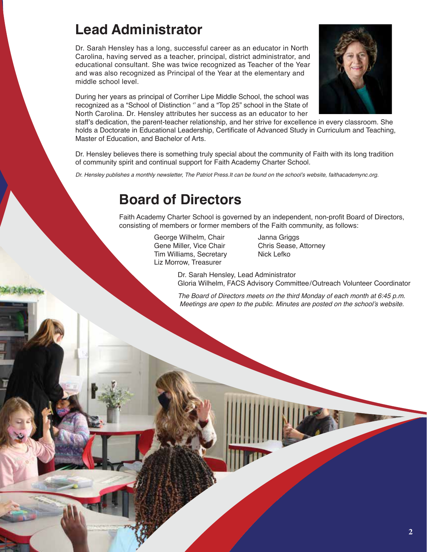#### **Lead Administrator**

Dr. Sarah Hensley has a long, successful career as an educator in North Carolina, having served as a teacher, principal, district administrator, and educational consultant. She was twice recognized as Teacher of the Year and was also recognized as Principal of the Year at the elementary and middle school level.

During her years as principal of Corriher Lipe Middle School, the school was recognized as a "School of Distinction '' and a "Top 25" school in the State of North Carolina. Dr. Hensley attributes her success as an educator to her



staff's dedication, the parent-teacher relationship, and her strive for excellence in every classroom. She holds a Doctorate in Educational Leadership, Certificate of Advanced Study in Curriculum and Teaching, Master of Education, and Bachelor of Arts.

Dr. Hensley believes there is something truly special about the community of Faith with its long tradition of community spirit and continual support for Faith Academy Charter School.

Dr. Hensley publishes a monthly newsletter, The Patriot Press.It can be found on the school's website, faithacademync.org.

#### **Board of Directors**

Faith Academy Charter School is governed by an independent, non-profit Board of Directors, consisting of members or former members of the Faith community, as follows:

> George Wilhelm, Chair **Janna Griggs** Gene Miller, Vice Chair Chris Sease, Attorney Tim Williams, Secretary Nick Lefko Liz Morrow, Treasurer

Dr. Sarah Hensley, Lead Administrator Gloria Wilhelm, FACS Advisory Committee/Outreach Volunteer Coordinator

*The Board of Directors meets on the third Monday of each month at 6:45 p.m.*  Meetings are open to the public. Minutes are posted on the school's website.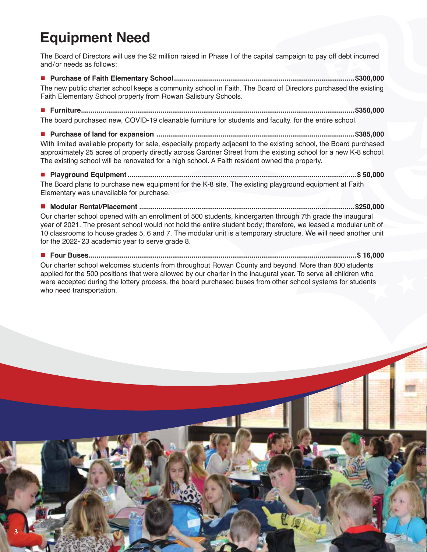### **Equipment Need**

The Board of Directors will use the \$2 million raised in Phase I of the capital campaign to pay off debt incurred and/or needs as follows:

**■ Purchase of Faith Elementary School.............................................................................................\$300,000** The new public charter school keeps a community school in Faith. The Board of Directors purchased the existing Faith Elementary School property from Rowan Salisbury Schools.

**■ Furniture.............................................................................................................................................\$350,000**

The board purchased new, COVID-19 cleanable furniture for students and faculty. for the entire school.

**■ Purchase of land for expansion ......................................................................................................\$385,000**

With limited available property for sale, especially property adjacent to the existing school, the Board purchased approximately 25 acres of property directly across Gardner Street from the existing school for a new K-8 school. The existing school will be renovated for a high school. A Faith resident owned the property.

**■ Playground Equipment......................................................................................................................\$ 50,000** The Board plans to purchase new equipment for the K-8 site. The existing playground equipment at Faith Elementary was unavailable for purchase.

**■ Modular Rental/Placement ...............................................................................................................\$250,000** Our charter school opened with an enrollment of 500 students, kindergarten through 7th grade the inaugural year of 2021. The present school would not hold the entire student body; therefore, we leased a modular unit of 10 classrooms to house grades 5, 6 and 7. The modular unit is a temporary structure. We will need another unit for the 2022-'23 academic year to serve grade 8.

**■ Four Buses..........................................................................................................................................\$ 16,000**

Our charter school welcomes students from throughout Rowan County and beyond. More than 800 students applied for the 500 positions that were allowed by our charter in the inaugural year. To serve all children who were accepted during the lottery process, the board purchased buses from other school systems for students who need transportation.

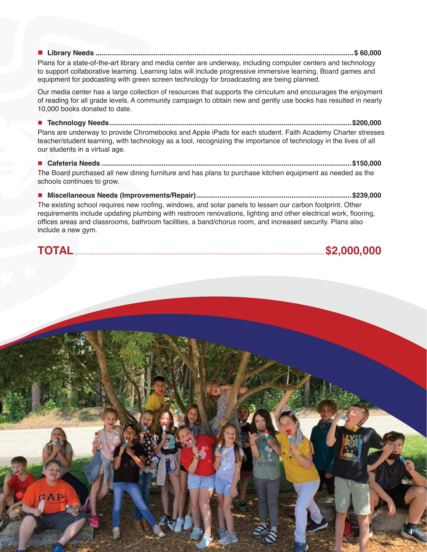**■ Library Needs .....................................................................................................................................\$ 60,000**

Plans for a state-of-the-art library and media center are underway, including computer centers and technology to support collaborative learning. Learning labs will include progressive immersive learning, Board games and equipment for podcasting with green screen technology for broadcasting are being planned.

Our media center has a large collection of resources that supports the cirriculum and encourages the enjoyment of reading for all grade levels. A community campaign to obtain new and gently use books has resulted in nearly 10,000 books donated to date.

**■ Technology Needs.............................................................................................................................\$200,000** Plans are underway to provide Chromebooks and Apple iPads for each student. Faith Academy Charter stresses teacher/student learning, with technology as a tool, recognizing the importance of technology in the lives of all our students in a virtual age.

**■ Cafeteria Needs .................................................................................................................................\$150,000** The Board purchased all new dining furniture and has plans to purchase kitchen equipment as needed as the schools continues to grow.

**■ Miscellaneous Needs (Improvements/Repair)................................................................................\$239,000** The existing school requires new roofing, windows, and solar panels to lessen our carbon footprint. Other requirements include updating plumbing with restroom renovations, lighting and other electrical work, flooring, offices areas and classrooms, bathroom facilities, a band/chorus room, and increased security. Plans also include a new gym.

**TOTAL**.................................................................................................................................**\$2,000,000**

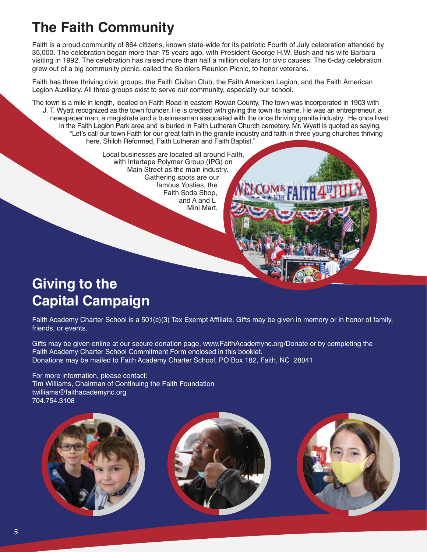## **The Faith Community**

Faith is a proud community of 864 citizens, known state-wide for its patriotic Fourth of July celebration attended by 35,000. The celebration began more than 75 years ago, with President George H.W. Bush and his wife Barbara visiting in 1992. The celebration has raised more than half a million dollars for civic causes. The 6-day celebration grew out of a big community picnic, called the Soldiers Reunion Picnic, to honor veterans.

Faith has three thriving civic groups, the Faith Civitan Club, the Faith American Legion, and the Faith American Legion Auxiliary. All three groups exist to serve our community, especially our school.

The town is a mile in length, located on Faith Road in eastern Rowan County. The town was incorporated in 1903 with J. T. Wyatt recognized as the town founder. He is credited with giving the town its name. He was an entrepreneur, a newspaper man, a magistrate and a businessman associated with the once thriving granite industry. He once lived in the Faith Legion Park area and is buried in Faith Lutheran Church cemetery. Mr. Wyatt is quoted as saying, "Let's call our town Faith for our great faith in the granite industry and faith in three young churches thriving here, Shiloh Reformed, Faith Lutheran and Faith Baptist."

> Local businesses are located all around Faith, with Intertape Polymer Group (IPG) on Main Street as the main industry. Gathering spots are our famous Yosties, the Faith Soda Shop, and A and L Mini Mart.

#### **Giving to the Capital Campaign**

Faith Academy Charter School is a 501(c)(3) Tax Exempt Affiliate. Gifts may be given in memory or in honor of family, friends, or events.

Gifts may be given online at our secure donation page, www.FaithAcademync.org/Donate or by completing the Faith Academy Charter School Commitment Form enclosed in this booklet. Donations may be mailed to Faith Academy Charter School, PO Box 182, Faith, NC 28041.

For more information, please contact: Tim Williams, Chairman of Continuing the Faith Foundation twilliams@faithacademync.org 704.754.3108

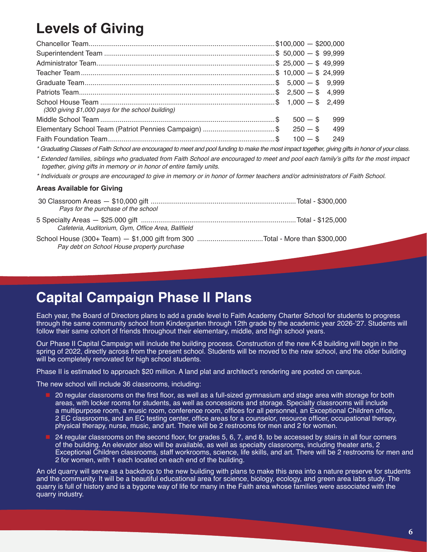### **Levels of Giving**

| (300 giving \$1,000 pays for the school building)             |            |     |
|---------------------------------------------------------------|------------|-----|
|                                                               |            | 999 |
| Elementary School Team (Patriot Pennies Campaign) \$ 250 - \$ |            | 499 |
|                                                               | $100 -$ \$ | 249 |

\* Graduating Classes of Faith School are encouraged to meet and pool funding to make the most impact together, giving gifts in honor of your class.

\* Extended families, siblings who graduated from Faith School are encouraged to meet and pool each family's gifts for the most impact together, giving gifts in memory or in honor of entire family units.

\* Individuals or groups are encouraged to give in memory or in honor of former teachers and/or administrators of Faith School.

#### **Areas Available for Giving**

| Pays for the purchase of the school                |  |
|----------------------------------------------------|--|
| Cafeteria, Auditorium, Gym, Office Area, Ballfield |  |
| Pay debt on School House property purchase         |  |

#### **Capital Campaign Phase II Plans**

Each year, the Board of Directors plans to add a grade level to Faith Academy Charter School for students to progress through the same community school from Kindergarten through 12th grade by the academic year 2026-'27. Students will follow their same cohort of friends throughout their elementary, middle, and high school years.

Our Phase II Capital Campaign will include the building process. Construction of the new K-8 building will begin in the spring of 2022, directly across from the present school. Students will be moved to the new school, and the older building will be completely renovated for high school students.

Phase II is estimated to approach \$20 million. A land plat and architect's rendering are posted on campus.

The new school will include 36 classrooms, including:

- 20 regular classrooms on the first floor, as well as a full-sized gymnasium and stage area with storage for both areas, with locker rooms for students, as well as concessions and storage. Specialty classrooms will include a multipurpose room, a music room, conference room, offices for all personnel, an Exceptional Children office, 2 EC classrooms, and an EC testing center, office areas for a counselor, resource officer, occupational therapy, physical therapy, nurse, music, and art. There will be 2 restrooms for men and 2 for women.
- 24 regular classrooms on the second floor, for grades 5, 6, 7, and 8, to be accessed by stairs in all four corners of the building. An elevator also will be available, as well as specialty classrooms, including theater arts, 2 Exceptional Children classrooms, staff workrooms, science, life skills, and art. There will be 2 restrooms for men and 2 for women, with 1 each located on each end of the building.

An old quarry will serve as a backdrop to the new building with plans to make this area into a nature preserve for students and the community. It will be a beautiful educational area for science, biology, ecology, and green area labs study. The quarry is full of history and is a bygone way of life for many in the Faith area whose families were associated with the quarry industry.